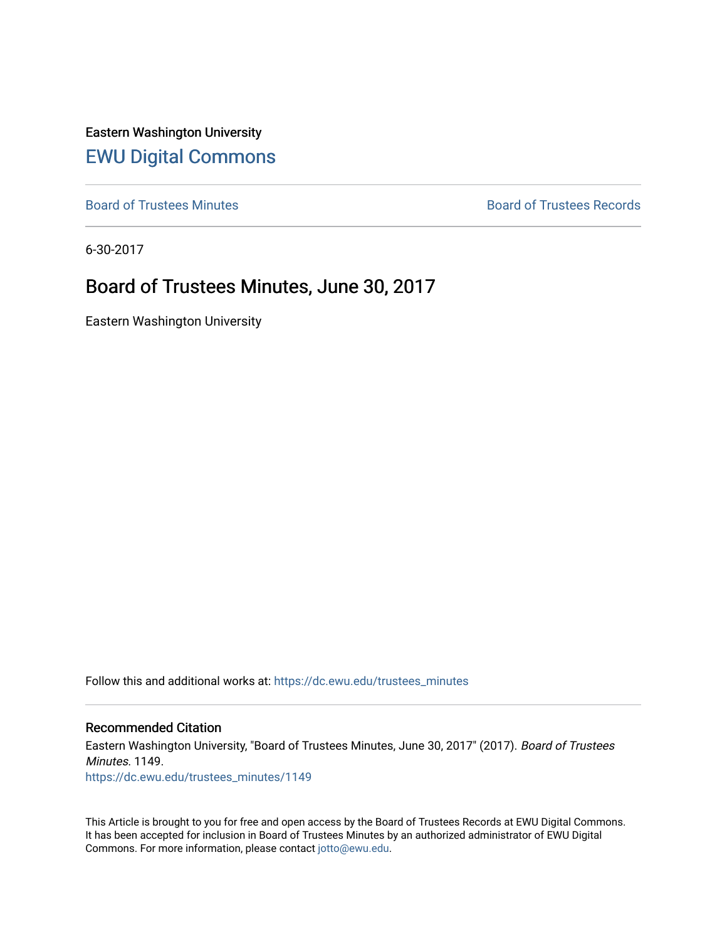Eastern Washington University [EWU Digital Commons](https://dc.ewu.edu/)

[Board of Trustees Minutes](https://dc.ewu.edu/trustees_minutes) **Board of Trustees Records Board of Trustees Records** 

6-30-2017

# Board of Trustees Minutes, June 30, 2017

Eastern Washington University

Follow this and additional works at: [https://dc.ewu.edu/trustees\\_minutes](https://dc.ewu.edu/trustees_minutes?utm_source=dc.ewu.edu%2Ftrustees_minutes%2F1149&utm_medium=PDF&utm_campaign=PDFCoverPages) 

#### Recommended Citation

Eastern Washington University, "Board of Trustees Minutes, June 30, 2017" (2017). Board of Trustees Minutes. 1149. [https://dc.ewu.edu/trustees\\_minutes/1149](https://dc.ewu.edu/trustees_minutes/1149?utm_source=dc.ewu.edu%2Ftrustees_minutes%2F1149&utm_medium=PDF&utm_campaign=PDFCoverPages) 

This Article is brought to you for free and open access by the Board of Trustees Records at EWU Digital Commons. It has been accepted for inclusion in Board of Trustees Minutes by an authorized administrator of EWU Digital Commons. For more information, please contact [jotto@ewu.edu.](mailto:jotto@ewu.edu)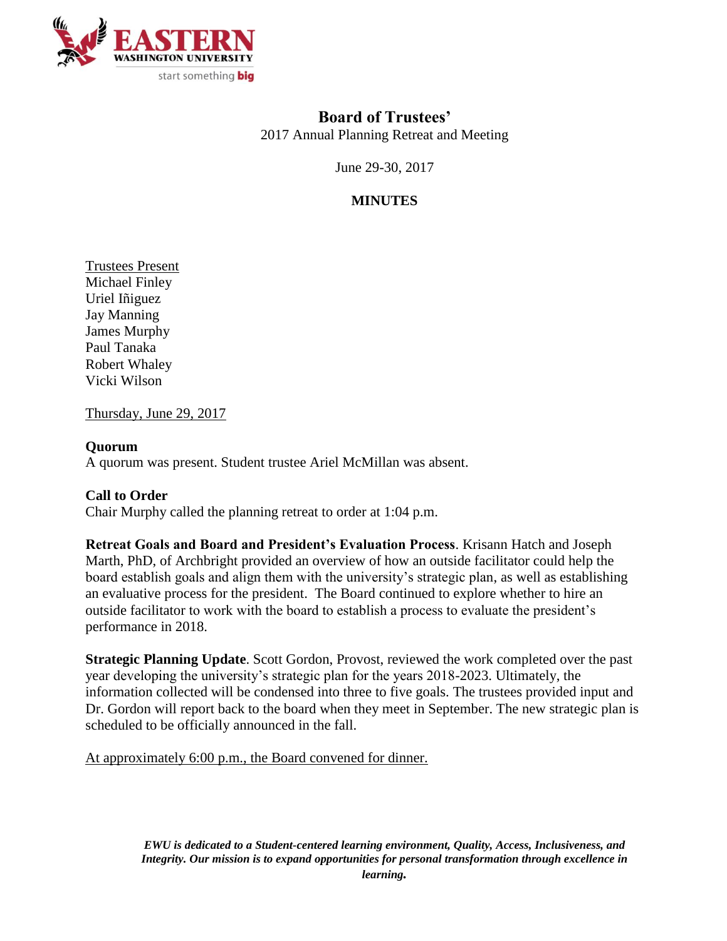

## **Board of Trustees'**

2017 Annual Planning Retreat and Meeting

June 29-30, 2017

## **MINUTES**

Trustees Present Michael Finley Uriel Iñiguez Jay Manning James Murphy Paul Tanaka Robert Whaley Vicki Wilson

Thursday, June 29, 2017

### **Quorum**

A quorum was present. Student trustee Ariel McMillan was absent.

### **Call to Order**

Chair Murphy called the planning retreat to order at 1:04 p.m.

**Retreat Goals and Board and President's Evaluation Process**. Krisann Hatch and Joseph Marth, PhD, of Archbright provided an overview of how an outside facilitator could help the board establish goals and align them with the university's strategic plan, as well as establishing an evaluative process for the president. The Board continued to explore whether to hire an outside facilitator to work with the board to establish a process to evaluate the president's performance in 2018.

**Strategic Planning Update**. Scott Gordon, Provost, reviewed the work completed over the past year developing the university's strategic plan for the years 2018-2023. Ultimately, the information collected will be condensed into three to five goals. The trustees provided input and Dr. Gordon will report back to the board when they meet in September. The new strategic plan is scheduled to be officially announced in the fall.

At approximately 6:00 p.m., the Board convened for dinner.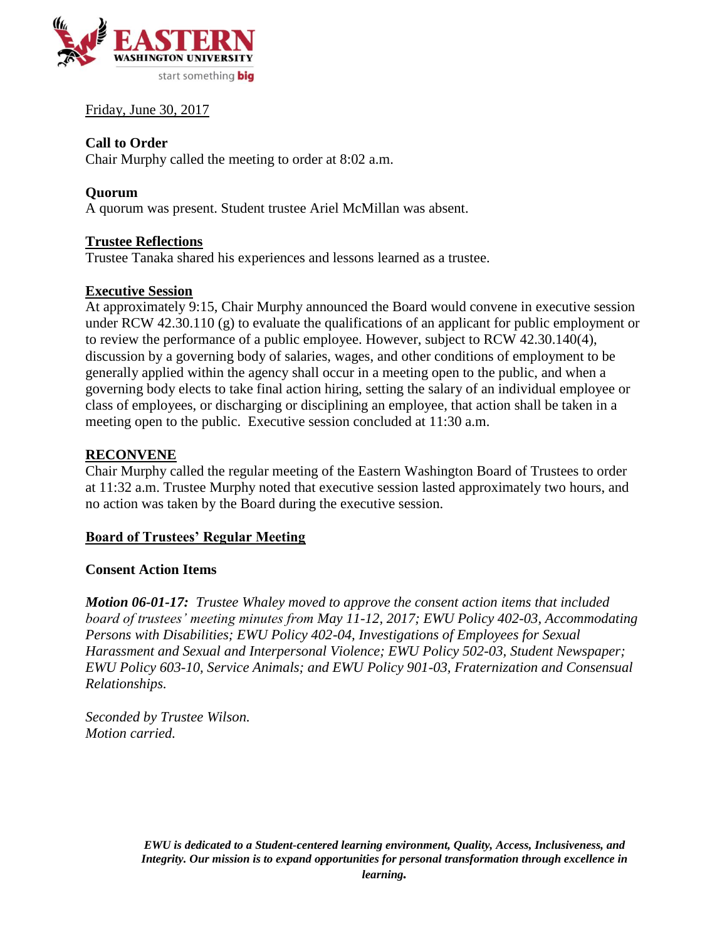

Friday, June 30, 2017

#### **Call to Order**

Chair Murphy called the meeting to order at 8:02 a.m.

### **Quorum**

A quorum was present. Student trustee Ariel McMillan was absent.

#### **Trustee Reflections**

Trustee Tanaka shared his experiences and lessons learned as a trustee.

#### **Executive Session**

At approximately 9:15, Chair Murphy announced the Board would convene in executive session under RCW 42.30.110 (g) to evaluate the qualifications of an applicant for public employment or to review the performance of a public employee. However, subject to RCW 42.30.140(4), discussion by a governing body of salaries, wages, and other conditions of employment to be generally applied within the agency shall occur in a meeting open to the public, and when a governing body elects to take final action hiring, setting the salary of an individual employee or class of employees, or discharging or disciplining an employee, that action shall be taken in a meeting open to the public. Executive session concluded at 11:30 a.m.

#### **RECONVENE**

Chair Murphy called the regular meeting of the Eastern Washington Board of Trustees to order at 11:32 a.m. Trustee Murphy noted that executive session lasted approximately two hours, and no action was taken by the Board during the executive session.

#### **Board of Trustees' Regular Meeting**

#### **Consent Action Items**

*Motion 06-01-17: Trustee Whaley moved to approve the consent action items that included board of trustees' meeting minutes from May 11-12, 2017; EWU Policy 402-03, Accommodating Persons with Disabilities; EWU Policy 402-04, Investigations of Employees for Sexual Harassment and Sexual and Interpersonal Violence; EWU Policy 502-03, Student Newspaper; EWU Policy 603-10, Service Animals; and EWU Policy 901-03, Fraternization and Consensual Relationships.*

*Seconded by Trustee Wilson. Motion carried.*